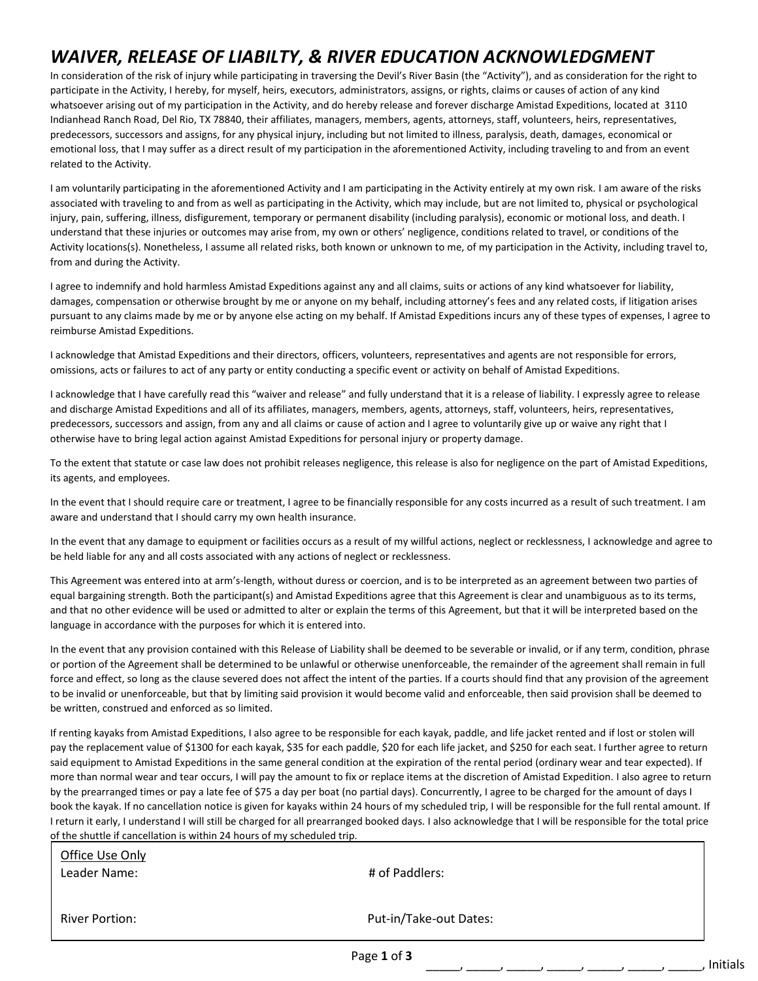## *WAIVER, RELEASE OF LIABILTY, & RIVER EDUCATION ACKNOWLEDGMENT*

In consideration of the risk of injury while participating in traversing the Devil's River Basin (the "Activity"), and as consideration for the right to participate in the Activity, I hereby, for myself, heirs, executors, administrators, assigns, or rights, claims or causes of action of any kind whatsoever arising out of my participation in the Activity, and do hereby release and forever discharge Amistad Expeditions, located at 3110 Indianhead Ranch Road, Del Rio, TX 78840, their affiliates, managers, members, agents, attorneys, staff, volunteers, heirs, representatives, predecessors, successors and assigns, for any physical injury, including but not limited to illness, paralysis, death, damages, economical or emotional loss, that I may suffer as a direct result of my participation in the aforementioned Activity, including traveling to and from an event related to the Activity.

I am voluntarily participating in the aforementioned Activity and I am participating in the Activity entirely at my own risk. I am aware of the risks associated with traveling to and from as well as participating in the Activity, which may include, but are not limited to, physical or psychological injury, pain, suffering, illness, disfigurement, temporary or permanent disability (including paralysis), economic or motional loss, and death. I understand that these injuries or outcomes may arise from, my own or others' negligence, conditions related to travel, or conditions of the Activity locations(s). Nonetheless, I assume all related risks, both known or unknown to me, of my participation in the Activity, including travel to, from and during the Activity.

I agree to indemnify and hold harmless Amistad Expeditions against any and all claims, suits or actions of any kind whatsoever for liability, damages, compensation or otherwise brought by me or anyone on my behalf, including attorney's fees and any related costs, if litigation arises pursuant to any claims made by me or by anyone else acting on my behalf. If Amistad Expeditions incurs any of these types of expenses, I agree to reimburse Amistad Expeditions.

I acknowledge that Amistad Expeditions and their directors, officers, volunteers, representatives and agents are not responsible for errors, omissions, acts or failures to act of any party or entity conducting a specific event or activity on behalf of Amistad Expeditions.

I acknowledge that I have carefully read this "waiver and release" and fully understand that it is a release of liability. I expressly agree to release and discharge Amistad Expeditions and all of its affiliates, managers, members, agents, attorneys, staff, volunteers, heirs, representatives, predecessors, successors and assign, from any and all claims or cause of action and I agree to voluntarily give up or waive any right that I otherwise have to bring legal action against Amistad Expeditions for personal injury or property damage.

To the extent that statute or case law does not prohibit releases negligence, this release is also for negligence on the part of Amistad Expeditions, its agents, and employees.

In the event that I should require care or treatment, I agree to be financially responsible for any costs incurred as a result of such treatment. I am aware and understand that I should carry my own health insurance.

In the event that any damage to equipment or facilities occurs as a result of my willful actions, neglect or recklessness, I acknowledge and agree to be held liable for any and all costs associated with any actions of neglect or recklessness.

This Agreement was entered into at arm's-length, without duress or coercion, and is to be interpreted as an agreement between two parties of equal bargaining strength. Both the participant(s) and Amistad Expeditions agree that this Agreement is clear and unambiguous as to its terms, and that no other evidence will be used or admitted to alter or explain the terms of this Agreement, but that it will be interpreted based on the language in accordance with the purposes for which it is entered into.

In the event that any provision contained with this Release of Liability shall be deemed to be severable or invalid, or if any term, condition, phrase or portion of the Agreement shall be determined to be unlawful or otherwise unenforceable, the remainder of the agreement shall remain in full force and effect, so long as the clause severed does not affect the intent of the parties. If a courts should find that any provision of the agreement to be invalid or unenforceable, but that by limiting said provision it would become valid and enforceable, then said provision shall be deemed to be written, construed and enforced as so limited.

If renting kayaks from Amistad Expeditions, I also agree to be responsible for each kayak, paddle, and life jacket rented and if lost or stolen will pay the replacement value of \$1300 for each kayak, \$35 for each paddle, \$20 for each life jacket, and \$250 for each seat. I further agree to return said equipment to Amistad Expeditions in the same general condition at the expiration of the rental period (ordinary wear and tear expected). If more than normal wear and tear occurs, I will pay the amount to fix or replace items at the discretion of Amistad Expedition. I also agree to return by the prearranged times or pay a late fee of \$75 a day per boat (no partial days). Concurrently, I agree to be charged for the amount of days I book the kayak. If no cancellation notice is given for kayaks within 24 hours of my scheduled trip, I will be responsible for the full rental amount. If I return it early, I understand I will still be charged for all prearranged booked days. I also acknowledge that I will be responsible for the total price

|                                                                         | Page 1 of 3            | Initials |
|-------------------------------------------------------------------------|------------------------|----------|
| River Portion:                                                          | Put-in/Take-out Dates: |          |
| Office Use Only<br>Leader Name:                                         | # of Paddlers:         |          |
| of the shuttle if cancellation is within 24 hours of my scheduled trip. |                        |          |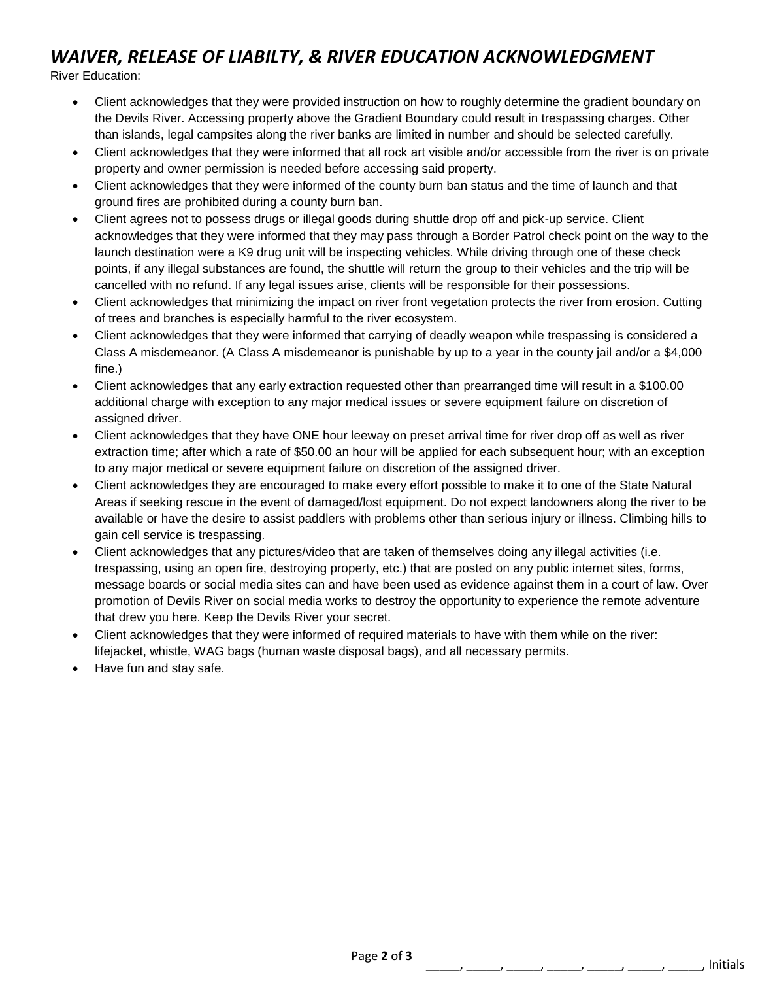## *WAIVER, RELEASE OF LIABILTY, & RIVER EDUCATION ACKNOWLEDGMENT*

River Education:

- Client acknowledges that they were provided instruction on how to roughly determine the gradient boundary on the Devils River. Accessing property above the Gradient Boundary could result in trespassing charges. Other than islands, legal campsites along the river banks are limited in number and should be selected carefully.
- Client acknowledges that they were informed that all rock art visible and/or accessible from the river is on private property and owner permission is needed before accessing said property.
- Client acknowledges that they were informed of the county burn ban status and the time of launch and that ground fires are prohibited during a county burn ban.
- Client agrees not to possess drugs or illegal goods during shuttle drop off and pick-up service. Client acknowledges that they were informed that they may pass through a Border Patrol check point on the way to the launch destination were a K9 drug unit will be inspecting vehicles. While driving through one of these check points, if any illegal substances are found, the shuttle will return the group to their vehicles and the trip will be cancelled with no refund. If any legal issues arise, clients will be responsible for their possessions.
- Client acknowledges that minimizing the impact on river front vegetation protects the river from erosion. Cutting of trees and branches is especially harmful to the river ecosystem.
- Client acknowledges that they were informed that carrying of deadly weapon while trespassing is considered a Class A misdemeanor. (A Class A misdemeanor is punishable by up to a year in the county jail and/or a \$4,000 fine.)
- Client acknowledges that any early extraction requested other than prearranged time will result in a \$100.00 additional charge with exception to any major medical issues or severe equipment failure on discretion of assigned driver.
- Client acknowledges that they have ONE hour leeway on preset arrival time for river drop off as well as river extraction time; after which a rate of \$50.00 an hour will be applied for each subsequent hour; with an exception to any major medical or severe equipment failure on discretion of the assigned driver.
- Client acknowledges they are encouraged to make every effort possible to make it to one of the State Natural Areas if seeking rescue in the event of damaged/lost equipment. Do not expect landowners along the river to be available or have the desire to assist paddlers with problems other than serious injury or illness. Climbing hills to gain cell service is trespassing.
- Client acknowledges that any pictures/video that are taken of themselves doing any illegal activities (i.e. trespassing, using an open fire, destroying property, etc.) that are posted on any public internet sites, forms, message boards or social media sites can and have been used as evidence against them in a court of law. Over promotion of Devils River on social media works to destroy the opportunity to experience the remote adventure that drew you here. Keep the Devils River your secret.
- Client acknowledges that they were informed of required materials to have with them while on the river: lifejacket, whistle, WAG bags (human waste disposal bags), and all necessary permits.
- Have fun and stay safe.

\_\_\_\_\_, \_\_\_\_\_, \_\_\_\_\_, \_\_\_\_\_, \_\_\_\_\_, \_\_\_\_\_, \_\_\_\_\_, Initials